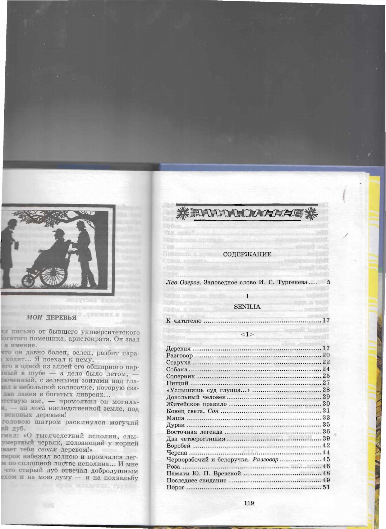

### СОДЕРЖАНИЕ

Лев Озеров. Заповедное слово И. С. Тургенева .... 5

 $\mathbf{I}$ 

#### **SENILIA**

|--|--|--|--|--|

 $< I >$ 

| Чернорабочий и белоручка. Разговор  45 |  |
|----------------------------------------|--|
|                                        |  |
|                                        |  |
|                                        |  |
|                                        |  |